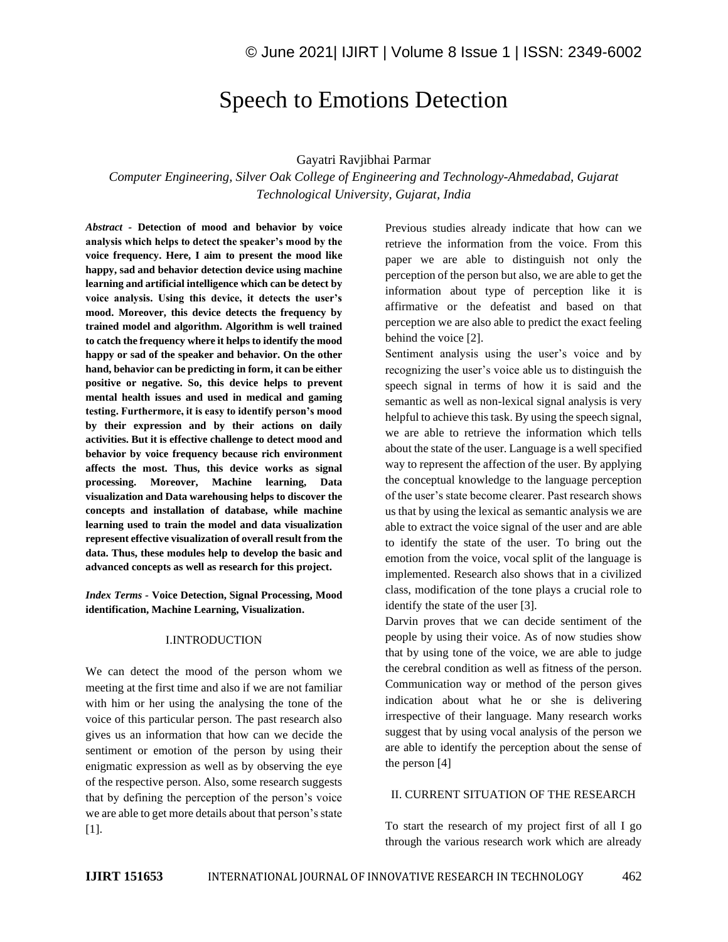# Speech to Emotions Detection

#### Gayatri Ravjibhai Parmar

*Computer Engineering, Silver Oak College of Engineering and Technology-Ahmedabad, Gujarat Technological University, Gujarat, India*

*Abstract -* **Detection of mood and behavior by voice analysis which helps to detect the speaker's mood by the voice frequency. Here, I aim to present the mood like happy, sad and behavior detection device using machine learning and artificial intelligence which can be detect by voice analysis. Using this device, it detects the user's mood. Moreover, this device detects the frequency by trained model and algorithm. Algorithm is well trained to catch the frequency where it helps to identify the mood happy or sad of the speaker and behavior. On the other hand, behavior can be predicting in form, it can be either positive or negative. So, this device helps to prevent mental health issues and used in medical and gaming testing. Furthermore, it is easy to identify person's mood by their expression and by their actions on daily activities. But it is effective challenge to detect mood and behavior by voice frequency because rich environment affects the most. Thus, this device works as signal processing. Moreover, Machine learning, Data visualization and Data warehousing helps to discover the concepts and installation of database, while machine learning used to train the model and data visualization represent effective visualization of overall result from the data. Thus, these modules help to develop the basic and advanced concepts as well as research for this project.**

*Index Terms -* **Voice Detection, Signal Processing, Mood identification, Machine Learning, Visualization.**

#### I.INTRODUCTION

We can detect the mood of the person whom we meeting at the first time and also if we are not familiar with him or her using the analysing the tone of the voice of this particular person. The past research also gives us an information that how can we decide the sentiment or emotion of the person by using their enigmatic expression as well as by observing the eye of the respective person. Also, some research suggests that by defining the perception of the person's voice we are able to get more details about that person's state [1].

Previous studies already indicate that how can we retrieve the information from the voice. From this paper we are able to distinguish not only the perception of the person but also, we are able to get the information about type of perception like it is affirmative or the defeatist and based on that perception we are also able to predict the exact feeling behind the voice [2].

Sentiment analysis using the user's voice and by recognizing the user's voice able us to distinguish the speech signal in terms of how it is said and the semantic as well as non-lexical signal analysis is very helpful to achieve this task. By using the speech signal, we are able to retrieve the information which tells about the state of the user. Language is a well specified way to represent the affection of the user. By applying the conceptual knowledge to the language perception of the user's state become clearer. Past research shows us that by using the lexical as semantic analysis we are able to extract the voice signal of the user and are able to identify the state of the user. To bring out the emotion from the voice, vocal split of the language is implemented. Research also shows that in a civilized class, modification of the tone plays a crucial role to identify the state of the user [3].

Darvin proves that we can decide sentiment of the people by using their voice. As of now studies show that by using tone of the voice, we are able to judge the cerebral condition as well as fitness of the person. Communication way or method of the person gives indication about what he or she is delivering irrespective of their language. Many research works suggest that by using vocal analysis of the person we are able to identify the perception about the sense of the person [4]

#### II. CURRENT SITUATION OF THE RESEARCH

To start the research of my project first of all I go through the various research work which are already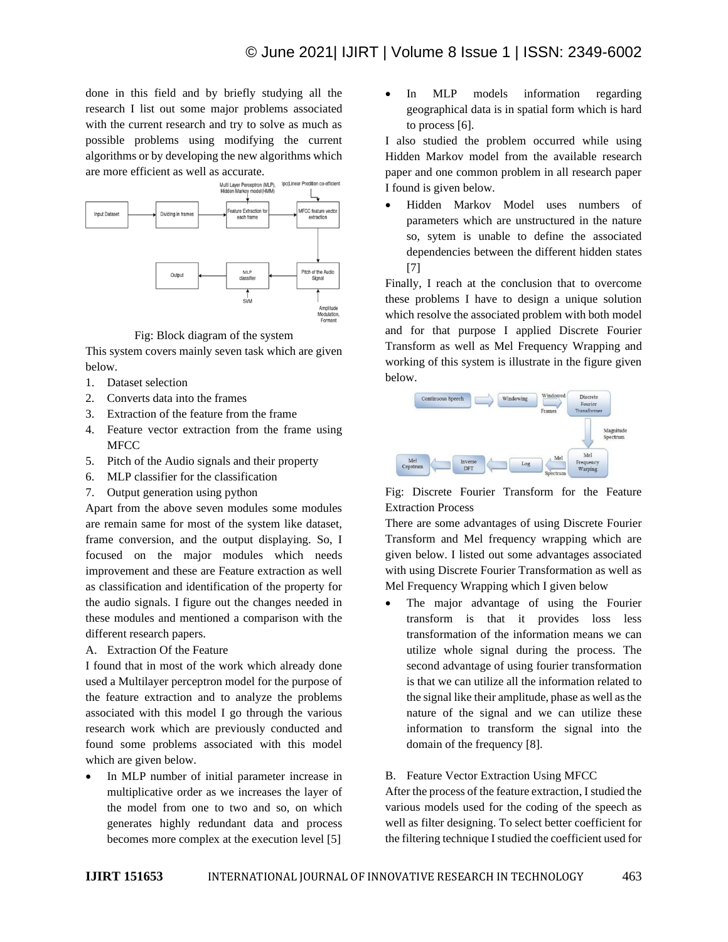done in this field and by briefly studying all the research I list out some major problems associated with the current research and try to solve as much as possible problems using modifying the current algorithms or by developing the new algorithms which are more efficient as well as accurate.



Fig: Block diagram of the system

This system covers mainly seven task which are given below.

- 1. Dataset selection
- 2. Converts data into the frames
- 3. Extraction of the feature from the frame
- 4. Feature vector extraction from the frame using MFCC
- 5. Pitch of the Audio signals and their property
- 6. MLP classifier for the classification
- 7. Output generation using python

Apart from the above seven modules some modules are remain same for most of the system like dataset, frame conversion, and the output displaying. So, I focused on the major modules which needs improvement and these are Feature extraction as well as classification and identification of the property for the audio signals. I figure out the changes needed in these modules and mentioned a comparison with the different research papers.

A. Extraction Of the Feature

I found that in most of the work which already done used a Multilayer perceptron model for the purpose of the feature extraction and to analyze the problems associated with this model I go through the various research work which are previously conducted and found some problems associated with this model which are given below.

In MLP number of initial parameter increase in multiplicative order as we increases the layer of the model from one to two and so, on which generates highly redundant data and process becomes more complex at the execution level [5]

In MLP models information regarding geographical data is in spatial form which is hard to process [6].

I also studied the problem occurred while using Hidden Markov model from the available research paper and one common problem in all research paper I found is given below.

• Hidden Markov Model uses numbers of parameters which are unstructured in the nature so, sytem is unable to define the associated dependencies between the different hidden states [7]

Finally, I reach at the conclusion that to overcome these problems I have to design a unique solution which resolve the associated problem with both model and for that purpose I applied Discrete Fourier Transform as well as Mel Frequency Wrapping and working of this system is illustrate in the figure given below.



Fig: Discrete Fourier Transform for the Feature Extraction Process

There are some advantages of using Discrete Fourier Transform and Mel frequency wrapping which are given below. I listed out some advantages associated with using Discrete Fourier Transformation as well as Mel Frequency Wrapping which I given below

The major advantage of using the Fourier transform is that it provides loss less transformation of the information means we can utilize whole signal during the process. The second advantage of using fourier transformation is that we can utilize all the information related to the signal like their amplitude, phase as well as the nature of the signal and we can utilize these information to transform the signal into the domain of the frequency [8].

## B. Feature Vector Extraction Using MFCC

After the process of the feature extraction, I studied the various models used for the coding of the speech as well as filter designing. To select better coefficient for the filtering technique I studied the coefficient used for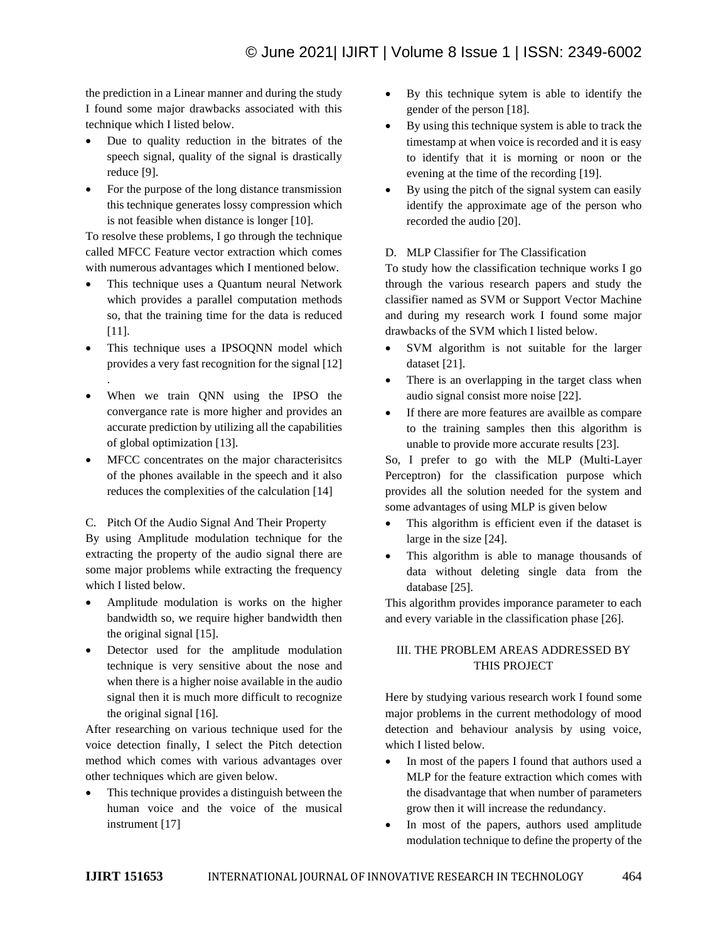the prediction in a Linear manner and during the study I found some major drawbacks associated with this technique which I listed below.

- Due to quality reduction in the bitrates of the speech signal, quality of the signal is drastically reduce [9].
- For the purpose of the long distance transmission this technique generates lossy compression which is not feasible when distance is longer [10].

To resolve these problems, I go through the technique called MFCC Feature vector extraction which comes with numerous advantages which I mentioned below.

- This technique uses a Quantum neural Network which provides a parallel computation methods so, that the training time for the data is reduced [11].
- This technique uses a IPSOQNN model which provides a very fast recognition for the signal [12] .
- When we train ONN using the IPSO the convergance rate is more higher and provides an accurate prediction by utilizing all the capabilities of global optimization [13].
- MFCC concentrates on the major characterisitcs of the phones available in the speech and it also reduces the complexities of the calculation [14]

C. Pitch Of the Audio Signal And Their Property

By using Amplitude modulation technique for the extracting the property of the audio signal there are some major problems while extracting the frequency which I listed below.

- Amplitude modulation is works on the higher bandwidth so, we require higher bandwidth then the original signal [15].
- Detector used for the amplitude modulation technique is very sensitive about the nose and when there is a higher noise available in the audio signal then it is much more difficult to recognize the original signal [16].

After researching on various technique used for the voice detection finally, I select the Pitch detection method which comes with various advantages over other techniques which are given below.

This technique provides a distinguish between the human voice and the voice of the musical instrument [17]

- By this technique sytem is able to identify the gender of the person [18].
- By using this technique system is able to track the timestamp at when voice is recorded and it is easy to identify that it is morning or noon or the evening at the time of the recording [19].
- By using the pitch of the signal system can easily identify the approximate age of the person who recorded the audio [20].

# D. MLP Classifier for The Classification

To study how the classification technique works I go through the various research papers and study the classifier named as SVM or Support Vector Machine and during my research work I found some major drawbacks of the SVM which I listed below.

- SVM algorithm is not suitable for the larger dataset [21].
- There is an overlapping in the target class when audio signal consist more noise [22].
- If there are more features are availble as compare to the training samples then this algorithm is unable to provide more accurate results [23].

So, I prefer to go with the MLP (Multi-Layer Perceptron) for the classification purpose which provides all the solution needed for the system and some advantages of using MLP is given below

- This algorithm is efficient even if the dataset is large in the size [24].
- This algorithm is able to manage thousands of data without deleting single data from the database [25].

This algorithm provides imporance parameter to each and every variable in the classification phase [26].

# III. THE PROBLEM AREAS ADDRESSED BY THIS PROJECT

Here by studying various research work I found some major problems in the current methodology of mood detection and behaviour analysis by using voice, which I listed below.

- In most of the papers I found that authors used a MLP for the feature extraction which comes with the disadvantage that when number of parameters grow then it will increase the redundancy.
- In most of the papers, authors used amplitude modulation technique to define the property of the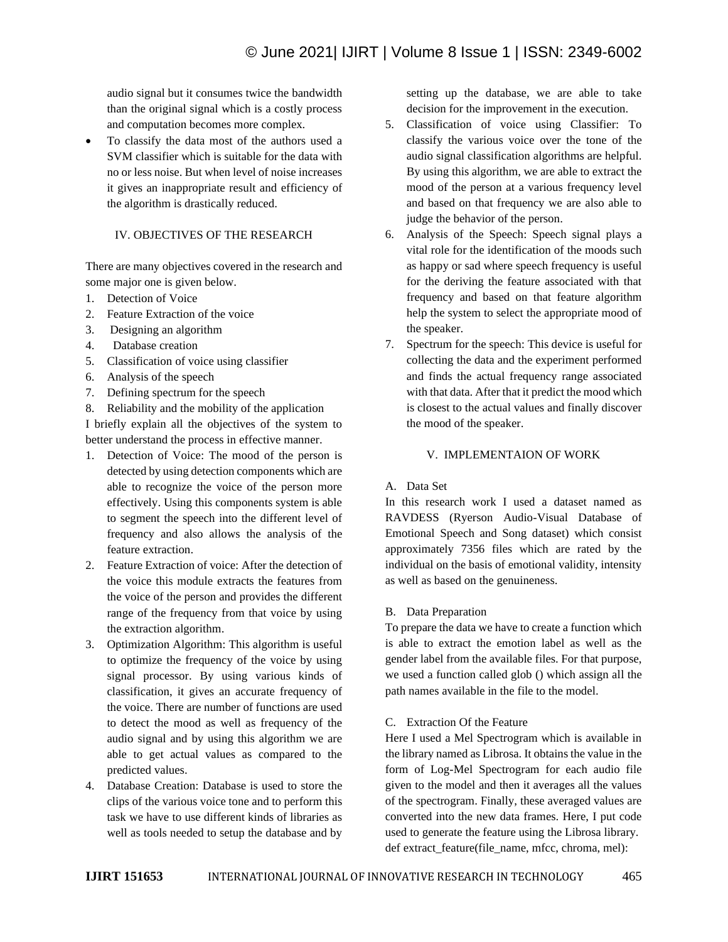audio signal but it consumes twice the bandwidth than the original signal which is a costly process and computation becomes more complex.

• To classify the data most of the authors used a SVM classifier which is suitable for the data with no or less noise. But when level of noise increases it gives an inappropriate result and efficiency of the algorithm is drastically reduced.

# IV. OBJECTIVES OF THE RESEARCH

There are many objectives covered in the research and some major one is given below.

- 1. Detection of Voice
- 2. Feature Extraction of the voice
- 3. Designing an algorithm
- 4. Database creation
- 5. Classification of voice using classifier
- 6. Analysis of the speech
- 7. Defining spectrum for the speech
- 8. Reliability and the mobility of the application

I briefly explain all the objectives of the system to better understand the process in effective manner.

- 1. Detection of Voice: The mood of the person is detected by using detection components which are able to recognize the voice of the person more effectively. Using this components system is able to segment the speech into the different level of frequency and also allows the analysis of the feature extraction.
- 2. Feature Extraction of voice: After the detection of the voice this module extracts the features from the voice of the person and provides the different range of the frequency from that voice by using the extraction algorithm.
- 3. Optimization Algorithm: This algorithm is useful to optimize the frequency of the voice by using signal processor. By using various kinds of classification, it gives an accurate frequency of the voice. There are number of functions are used to detect the mood as well as frequency of the audio signal and by using this algorithm we are able to get actual values as compared to the predicted values.
- 4. Database Creation: Database is used to store the clips of the various voice tone and to perform this task we have to use different kinds of libraries as well as tools needed to setup the database and by

setting up the database, we are able to take decision for the improvement in the execution.

- 5. Classification of voice using Classifier: To classify the various voice over the tone of the audio signal classification algorithms are helpful. By using this algorithm, we are able to extract the mood of the person at a various frequency level and based on that frequency we are also able to judge the behavior of the person.
- 6. Analysis of the Speech: Speech signal plays a vital role for the identification of the moods such as happy or sad where speech frequency is useful for the deriving the feature associated with that frequency and based on that feature algorithm help the system to select the appropriate mood of the speaker.
- 7. Spectrum for the speech: This device is useful for collecting the data and the experiment performed and finds the actual frequency range associated with that data. After that it predict the mood which is closest to the actual values and finally discover the mood of the speaker.

# V. IMPLEMENTAION OF WORK

## A. Data Set

In this research work I used a dataset named as RAVDESS (Ryerson Audio-Visual Database of Emotional Speech and Song dataset) which consist approximately 7356 files which are rated by the individual on the basis of emotional validity, intensity as well as based on the genuineness.

## B. Data Preparation

To prepare the data we have to create a function which is able to extract the emotion label as well as the gender label from the available files. For that purpose, we used a function called glob () which assign all the path names available in the file to the model.

## C. Extraction Of the Feature

Here I used a Mel Spectrogram which is available in the library named as Librosa. It obtains the value in the form of Log-Mel Spectrogram for each audio file given to the model and then it averages all the values of the spectrogram. Finally, these averaged values are converted into the new data frames. Here, I put code used to generate the feature using the Librosa library. def extract feature(file name, mfcc, chroma, mel):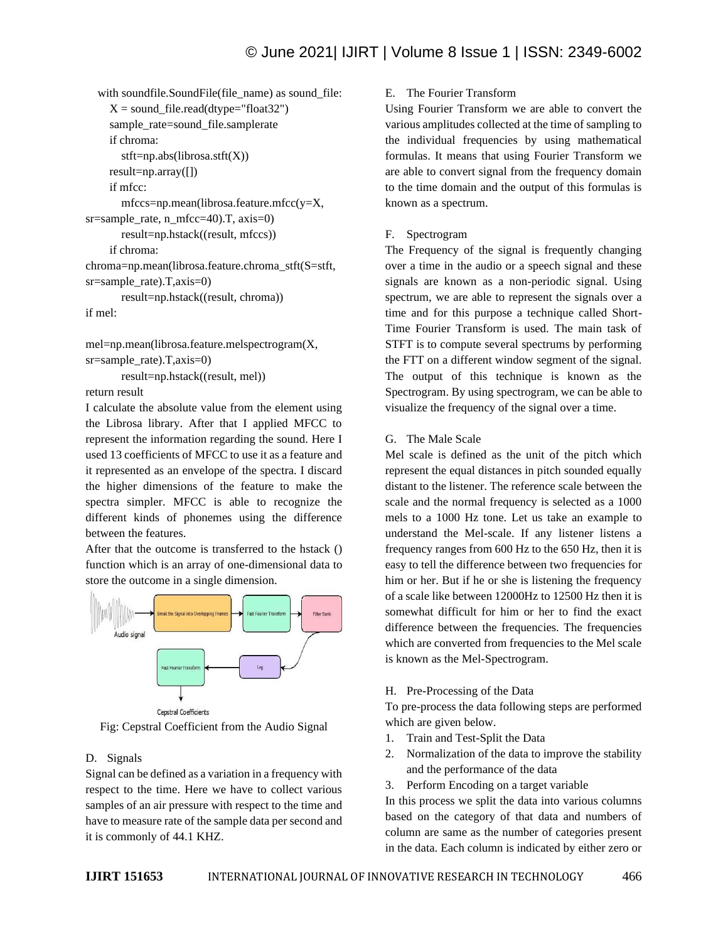with soundfile.SoundFile(file\_name) as sound\_file:  $X = sound$  file.read(dtype="float32") sample\_rate=sound\_file.samplerate if chroma: stft=np.abs(librosa.stft(X)) result=np.array([]) if mfcc: mfccs=np.mean(librosa.feature.mfcc(y=X, sr=sample\_rate, n\_mfcc=40).T, axis=0) result=np.hstack((result, mfccs)) if chroma: chroma=np.mean(librosa.feature.chroma\_stft(S=stft, sr=sample\_rate).T,axis=0) result=np.hstack((result, chroma)) if mel:

mel=np.mean(librosa.feature.melspectrogram(X, sr=sample\_rate).T,axis=0) result=np.hstack((result, mel))

return result

I calculate the absolute value from the element using the Librosa library. After that I applied MFCC to represent the information regarding the sound. Here I used 13 coefficients of MFCC to use it as a feature and it represented as an envelope of the spectra. I discard the higher dimensions of the feature to make the spectra simpler. MFCC is able to recognize the different kinds of phonemes using the difference between the features.

After that the outcome is transferred to the hstack () function which is an array of one-dimensional data to store the outcome in a single dimension.



Cepstral Coefficients Fig: Cepstral Coefficient from the Audio Signal

# D. Signals

Signal can be defined as a variation in a frequency with respect to the time. Here we have to collect various samples of an air pressure with respect to the time and have to measure rate of the sample data per second and it is commonly of 44.1 KHZ.

#### E. The Fourier Transform

Using Fourier Transform we are able to convert the various amplitudes collected at the time of sampling to the individual frequencies by using mathematical formulas. It means that using Fourier Transform we are able to convert signal from the frequency domain to the time domain and the output of this formulas is known as a spectrum.

#### F. Spectrogram

The Frequency of the signal is frequently changing over a time in the audio or a speech signal and these signals are known as a non-periodic signal. Using spectrum, we are able to represent the signals over a time and for this purpose a technique called Short-Time Fourier Transform is used. The main task of STFT is to compute several spectrums by performing the FTT on a different window segment of the signal. The output of this technique is known as the Spectrogram. By using spectrogram, we can be able to visualize the frequency of the signal over a time.

G. The Male Scale

Mel scale is defined as the unit of the pitch which represent the equal distances in pitch sounded equally distant to the listener. The reference scale between the scale and the normal frequency is selected as a 1000 mels to a 1000 Hz tone. Let us take an example to understand the Mel-scale. If any listener listens a frequency ranges from 600 Hz to the 650 Hz, then it is easy to tell the difference between two frequencies for him or her. But if he or she is listening the frequency of a scale like between 12000Hz to 12500 Hz then it is somewhat difficult for him or her to find the exact difference between the frequencies. The frequencies which are converted from frequencies to the Mel scale is known as the Mel-Spectrogram.

#### H. Pre-Processing of the Data

To pre-process the data following steps are performed which are given below.

- 1. Train and Test-Split the Data
- 2. Normalization of the data to improve the stability and the performance of the data
- 3. Perform Encoding on a target variable

In this process we split the data into various columns based on the category of that data and numbers of column are same as the number of categories present in the data. Each column is indicated by either zero or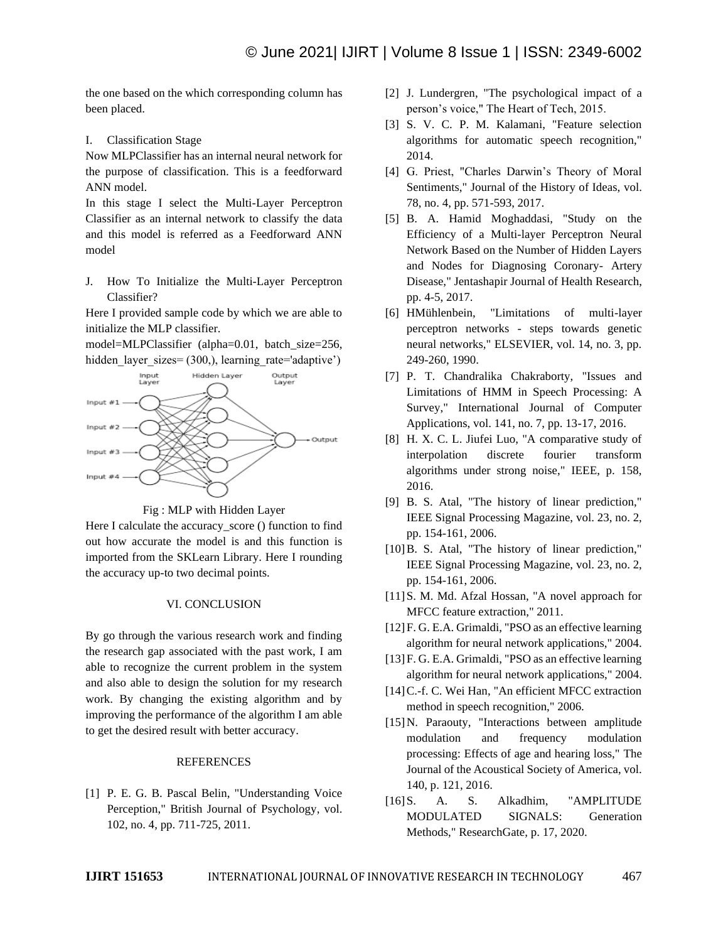the one based on the which corresponding column has been placed.

I. Classification Stage

Now MLPClassifier has an internal neural network for the purpose of classification. This is a feedforward ANN model.

In this stage I select the Multi-Layer Perceptron Classifier as an internal network to classify the data and this model is referred as a Feedforward ANN model

J. How To Initialize the Multi-Layer Perceptron Classifier?

Here I provided sample code by which we are able to initialize the MLP classifier.

model=MLPClassifier (alpha=0.01, batch\_size=256, hidden layer sizes= (300,), learning rate='adaptive')



Fig : MLP with Hidden Layer

Here I calculate the accuracy score () function to find out how accurate the model is and this function is imported from the SKLearn Library. Here I rounding the accuracy up-to two decimal points.

#### VI. CONCLUSION

By go through the various research work and finding the research gap associated with the past work, I am able to recognize the current problem in the system and also able to design the solution for my research work. By changing the existing algorithm and by improving the performance of the algorithm I am able to get the desired result with better accuracy.

#### **REFERENCES**

[1] P. E. G. B. Pascal Belin, "Understanding Voice Perception," British Journal of Psychology, vol. 102, no. 4, pp. 711-725, 2011.

- [2] J. Lundergren, "The psychological impact of a person's voice," The Heart of Tech, 2015.
- [3] S. V. C. P. M. Kalamani, "Feature selection algorithms for automatic speech recognition," 2014.
- [4] G. Priest, "Charles Darwin's Theory of Moral Sentiments," Journal of the History of Ideas, vol. 78, no. 4, pp. 571-593, 2017.
- [5] B. A. Hamid Moghaddasi, "Study on the Efficiency of a Multi-layer Perceptron Neural Network Based on the Number of Hidden Layers and Nodes for Diagnosing Coronary- Artery Disease," Jentashapir Journal of Health Research, pp. 4-5, 2017.
- [6] HMühlenbein, "Limitations of multi-layer perceptron networks - steps towards genetic neural networks," ELSEVIER, vol. 14, no. 3, pp. 249-260, 1990.
- [7] P. T. Chandralika Chakraborty, "Issues and Limitations of HMM in Speech Processing: A Survey," International Journal of Computer Applications, vol. 141, no. 7, pp. 13-17, 2016.
- [8] H. X. C. L. Jiufei Luo, "A comparative study of interpolation discrete fourier transform algorithms under strong noise," IEEE, p. 158, 2016.
- [9] B. S. Atal, "The history of linear prediction," IEEE Signal Processing Magazine, vol. 23, no. 2, pp. 154-161, 2006.
- [10]B. S. Atal, "The history of linear prediction," IEEE Signal Processing Magazine, vol. 23, no. 2, pp. 154-161, 2006.
- [11] S. M. Md. Afzal Hossan, "A novel approach for MFCC feature extraction," 2011.
- [12] F. G. E.A. Grimaldi, "PSO as an effective learning algorithm for neural network applications," 2004.
- [13] F. G. E.A. Grimaldi, "PSO as an effective learning algorithm for neural network applications," 2004.
- [14] C.-f. C. Wei Han, "An efficient MFCC extraction method in speech recognition," 2006.
- [15] N. Paraouty, "Interactions between amplitude modulation and frequency modulation processing: Effects of age and hearing loss," The Journal of the Acoustical Society of America, vol. 140, p. 121, 2016.
- [16]S. A. S. Alkadhim, "AMPLITUDE MODULATED SIGNALS: Generation Methods," ResearchGate, p. 17, 2020.